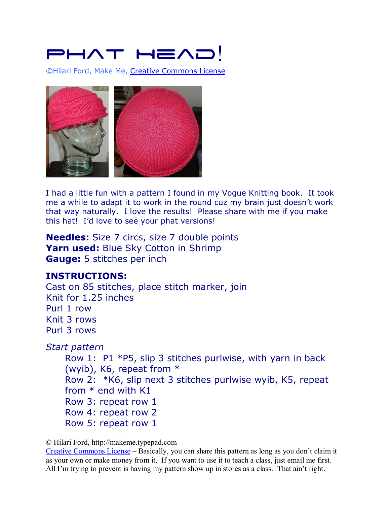## PHAT HEAL

©Hilari Ford, Make Me, Creative Commons License



I had a little fun with a pattern I found in my Vogue Knitting book. It took me a while to adapt it to work in the round cuz my brain just doesn't work that way naturally. I love the results! Please share with me if you make this hat! I'd love to see your phat versions!

**Needles:** Size 7 circs, size 7 double points Yarn used: Blue Sky Cotton in Shrimp **Gauge:** 5 stitches per inch

## **INSTRUCTIONS:**

Cast on 85 stitches, place stitch marker, join Knit for 1.25 inches Purl 1 row Knit 3 rows Purl 3 rows

*Start pattern* 

Row 1: P1 \*P5, slip 3 stitches purlwise, with yarn in back (wyib), K6, repeat from \* Row 2: \*K6, slip next 3 stitches purlwise wyib, K5, repeat from \* end with K1 Row 3: repeat row 1 Row 4: repeat row 2 Row 5: repeat row 1

© Hilari Ford, http://makeme.typepad.com

Creative Commons License – Basically, you can share this pattern as long as you don't claim it as your own or make money from it. If you want to use it to teach a class, just email me first. All I'm trying to prevent is having my pattern show up in stores as a class. That ain't right.